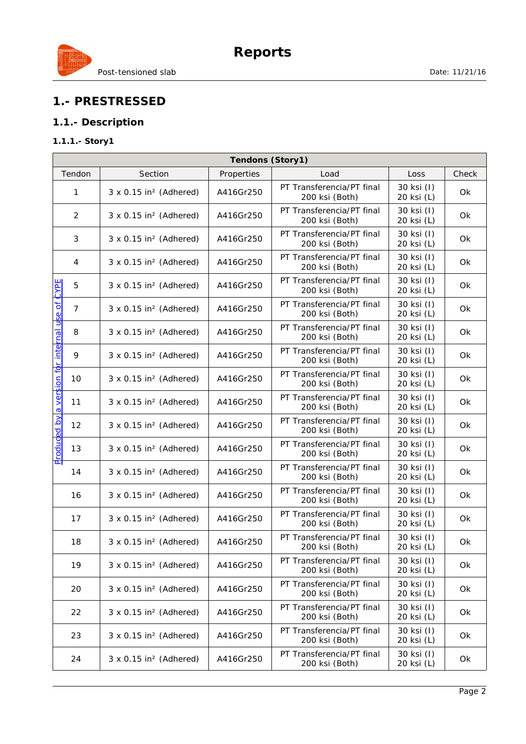

## **1.- PRESTRESSED**

### **1.1.- Description**

#### **1.1.1.- Story1**

| Tendons (Story1)                                             |                                           |            |                                             |                          |       |
|--------------------------------------------------------------|-------------------------------------------|------------|---------------------------------------------|--------------------------|-------|
| Tendon                                                       | Section                                   | Properties | Load                                        | Loss                     | Check |
| 1                                                            | $3 \times 0.15$ in <sup>2</sup> (Adhered) | A416Gr250  | PT Transferencia/PT final<br>200 ksi (Both) | 30 ksi (I)<br>20 ksi (L) | 0k    |
| $\overline{2}$                                               | $3 \times 0.15$ in <sup>2</sup> (Adhered) | A416Gr250  | PT Transferencia/PT final<br>200 ksi (Both) | 30 ksi (I)<br>20 ksi (L) | Ok    |
| 3                                                            | $3 \times 0.15$ in <sup>2</sup> (Adhered) | A416Gr250  | PT Transferencia/PT final<br>200 ksi (Both) | 30 ksi (I)<br>20 ksi (L) | Ok    |
| 4                                                            | $3 \times 0.15$ in <sup>2</sup> (Adhered) | A416Gr250  | PT Transferencia/PT final<br>200 ksi (Both) | 30 ksi (I)<br>20 ksi (L) | Ok    |
| CYPE<br>5                                                    | $3 \times 0.15$ in <sup>2</sup> (Adhered) | A416Gr250  | PT Transferencia/PT final<br>200 ksi (Both) | 30 ksi (I)<br>20 ksi (L) | Ok    |
| $\overline{7}$                                               | $3 \times 0.15$ in <sup>2</sup> (Adhered) | A416Gr250  | PT Transferencia/PT final<br>200 ksi (Both) | 30 ksi (I)<br>20 ksi (L) | Ok    |
| P <mark>roduced by a version for internal use of</mark><br>8 | $3 \times 0.15$ in <sup>2</sup> (Adhered) | A416Gr250  | PT Transferencia/PT final<br>200 ksi (Both) | 30 ksi (I)<br>20 ksi (L) | Ok    |
| 9                                                            | $3 \times 0.15$ in <sup>2</sup> (Adhered) | A416Gr250  | PT Transferencia/PT final<br>200 ksi (Both) | 30 ksi (I)<br>20 ksi (L) | Ok    |
| 10                                                           | $3 \times 0.15$ in <sup>2</sup> (Adhered) | A416Gr250  | PT Transferencia/PT final<br>200 ksi (Both) | 30 ksi (I)<br>20 ksi (L) | Ok    |
| 11                                                           | $3 \times 0.15$ in <sup>2</sup> (Adhered) | A416Gr250  | PT Transferencia/PT final<br>200 ksi (Both) | 30 ksi (I)<br>20 ksi (L) | Ok    |
| 12                                                           | $3 \times 0.15$ in <sup>2</sup> (Adhered) | A416Gr250  | PT Transferencia/PT final<br>200 ksi (Both) | 30 ksi (I)<br>20 ksi (L) | Ok    |
| 13                                                           | $3 \times 0.15$ in <sup>2</sup> (Adhered) | A416Gr250  | PT Transferencia/PT final<br>200 ksi (Both) | 30 ksi (I)<br>20 ksi (L) | Ok    |
| 14                                                           | $3 \times 0.15$ in <sup>2</sup> (Adhered) | A416Gr250  | PT Transferencia/PT final<br>200 ksi (Both) | 30 ksi (I)<br>20 ksi (L) | Ok    |
| 16                                                           | $3 \times 0.15$ in <sup>2</sup> (Adhered) | A416Gr250  | PT Transferencia/PT final<br>200 ksi (Both) | 30 ksi (I)<br>20 ksi (L) | Ok    |
| 17                                                           | $3 \times 0.15$ in <sup>2</sup> (Adhered) | A416Gr250  | PT Transferencia/PT final<br>200 ksi (Both) | 30 ksi (I)<br>20 ksi (L) | Ok    |
| 18                                                           | $3 \times 0.15$ in <sup>2</sup> (Adhered) | A416Gr250  | PT Transferencia/PT final<br>200 ksi (Both) | 30 ksi (I)<br>20 ksi (L) | Ok    |
| 19                                                           | $3 \times 0.15$ in <sup>2</sup> (Adhered) | A416Gr250  | PT Transferencia/PT final<br>200 ksi (Both) | 30 ksi (I)<br>20 ksi (L) | Ok    |
| 20                                                           | $3 \times 0.15$ in <sup>2</sup> (Adhered) | A416Gr250  | PT Transferencia/PT final<br>200 ksi (Both) | 30 ksi (I)<br>20 ksi (L) | Ok    |
| 22                                                           | $3 \times 0.15$ in <sup>2</sup> (Adhered) | A416Gr250  | PT Transferencia/PT final<br>200 ksi (Both) | 30 ksi (I)<br>20 ksi (L) | Ok    |
| 23                                                           | $3 \times 0.15$ in <sup>2</sup> (Adhered) | A416Gr250  | PT Transferencia/PT final<br>200 ksi (Both) | 30 ksi (I)<br>20 ksi (L) | Ok    |
| 24                                                           | $3 \times 0.15$ in <sup>2</sup> (Adhered) | A416Gr250  | PT Transferencia/PT final<br>200 ksi (Both) | 30 ksi (I)<br>20 ksi (L) | Ok    |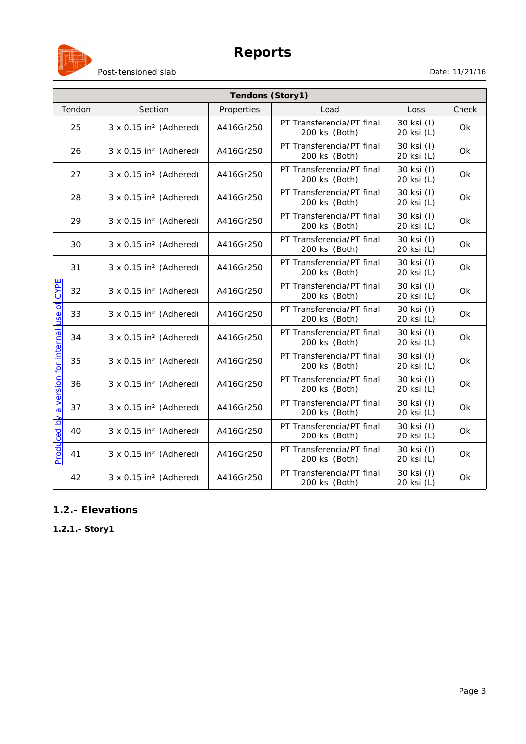



| Post-tensioned slab |  |
|---------------------|--|
|                     |  |

| Tendons (Story1)                    |                                           |            |                                             |                          |           |
|-------------------------------------|-------------------------------------------|------------|---------------------------------------------|--------------------------|-----------|
| Tendon                              | Section                                   | Properties | Load                                        | Loss                     | Check     |
| 25                                  | $3 \times 0.15$ in <sup>2</sup> (Adhered) | A416Gr250  | PT Transferencia/PT final<br>200 ksi (Both) | 30 ksi (I)<br>20 ksi (L) | <b>Ok</b> |
| 26                                  | $3 \times 0.15$ in <sup>2</sup> (Adhered) | A416Gr250  | PT Transferencia/PT final<br>200 ksi (Both) | 30 ksi (I)<br>20 ksi (L) | <b>Ok</b> |
| 27                                  | $3 \times 0.15$ in <sup>2</sup> (Adhered) | A416Gr250  | PT Transferencia/PT final<br>200 ksi (Both) | 30 ksi (I)<br>20 ksi (L) | 0k        |
| 28                                  | $3 \times 0.15$ in <sup>2</sup> (Adhered) | A416Gr250  | PT Transferencia/PT final<br>200 ksi (Both) | 30 ksi (I)<br>20 ksi (L) | Ok        |
| 29                                  | $3 \times 0.15$ in <sup>2</sup> (Adhered) | A416Gr250  | PT Transferencia/PT final<br>200 ksi (Both) | 30 ksi (I)<br>20 ksi (L) | Ok        |
| 30                                  | $3 \times 0.15$ in <sup>2</sup> (Adhered) | A416Gr250  | PT Transferencia/PT final<br>200 ksi (Both) | 30 ksi (I)<br>20 ksi (L) | <b>Ok</b> |
| 31                                  | $3 \times 0.15$ in <sup>2</sup> (Adhered) | A416Gr250  | PT Transferencia/PT final<br>200 ksi (Both) | 30 ksi (I)<br>20 ksi (L) | Ok        |
| <b>CYPE</b><br>32                   | $3 \times 0.15$ in <sup>2</sup> (Adhered) | A416Gr250  | PT Transferencia/PT final<br>200 ksi (Both) | 30 ksi (I)<br>20 ksi (L) | Ok        |
| 33                                  | $3 \times 0.15$ in <sup>2</sup> (Adhered) | A416Gr250  | PT Transferencia/PT final<br>200 ksi (Both) | 30 ksi (I)<br>20 ksi (L) | <b>Ok</b> |
| 34                                  | $3 \times 0.15$ in <sup>2</sup> (Adhered) | A416Gr250  | PT Transferencia/PT final<br>200 ksi (Both) | 30 ksi (I)<br>20 ksi (L) | 0k        |
| 35                                  | $3 \times 0.15$ in <sup>2</sup> (Adhered) | A416Gr250  | PT Transferencia/PT final<br>200 ksi (Both) | 30 ksi (I)<br>20 ksi (L) | <b>Ok</b> |
| a version for internal use of<br>36 | $3 \times 0.15$ in <sup>2</sup> (Adhered) | A416Gr250  | PT Transferencia/PT final<br>200 ksi (Both) | 30 ksi (I)<br>20 ksi (L) | <b>Ok</b> |
| 37                                  | $3 \times 0.15$ in <sup>2</sup> (Adhered) | A416Gr250  | PT Transferencia/PT final<br>200 ksi (Both) | 30 ksi (I)<br>20 ksi (L) | <b>Ok</b> |
| Produced by<br>40                   | $3 \times 0.15$ in <sup>2</sup> (Adhered) | A416Gr250  | PT Transferencia/PT final<br>200 ksi (Both) | 30 ksi (I)<br>20 ksi (L) | <b>Ok</b> |
| 41                                  | $3 \times 0.15$ in <sup>2</sup> (Adhered) | A416Gr250  | PT Transferencia/PT final<br>200 ksi (Both) | 30 ksi (I)<br>20 ksi (L) | Ok        |
| 42                                  | $3 \times 0.15$ in <sup>2</sup> (Adhered) | A416Gr250  | PT Transferencia/PT final<br>200 ksi (Both) | 30 ksi (I)<br>20 ksi (L) | 0k        |

## **1.2.- Elevations**

**1.2.1.- Story1**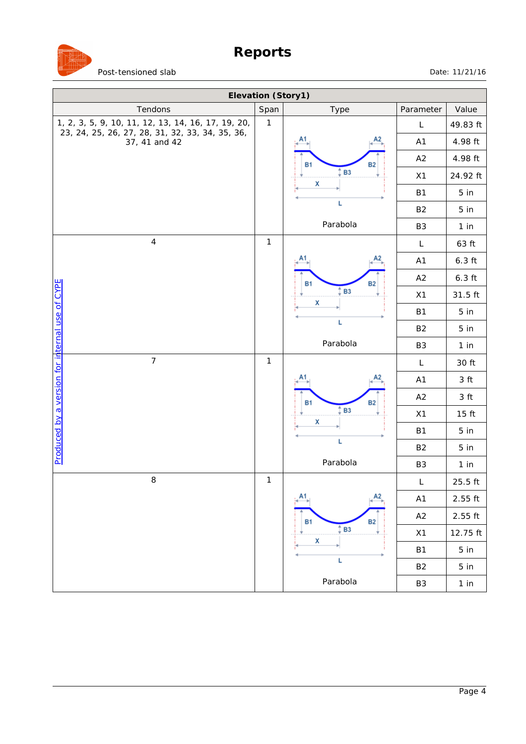

| Elevation (Story1)                                                                                    |              |                        |                |                     |  |  |
|-------------------------------------------------------------------------------------------------------|--------------|------------------------|----------------|---------------------|--|--|
| Tendons                                                                                               | Span         | Type                   | Parameter      | Value               |  |  |
| 1, 2, 3, 5, 9, 10, 11, 12, 13, 14, 16, 17, 19, 20,<br>23, 24, 25, 26, 27, 28, 31, 32, 33, 34, 35, 36, | $\mathbf{1}$ |                        | L              | 49.83 ft            |  |  |
| 37, 41 and 42                                                                                         |              | А2<br>Α1               | A1             | 4.98 ft             |  |  |
|                                                                                                       |              | <b>B1</b><br>B2        | A2             | 4.98 ft             |  |  |
|                                                                                                       | X            | <b>B3</b>              | X1             | 24.92 ft            |  |  |
|                                                                                                       |              |                        | <b>B1</b>      | 5 in                |  |  |
|                                                                                                       |              | Г                      | B <sub>2</sub> | 5 <sub>in</sub>     |  |  |
|                                                                                                       |              | Parabola               | B <sub>3</sub> | 1 in                |  |  |
| $\sqrt{4}$                                                                                            | $\mathbf{1}$ |                        | L              | 63 ft               |  |  |
|                                                                                                       |              | А2                     | A1             | $6.3$ ft            |  |  |
|                                                                                                       |              | <b>B1</b><br><b>B2</b> | A2             | $6.3$ ft            |  |  |
|                                                                                                       |              | <b>B3</b>              | X1             | 31.5 ft             |  |  |
|                                                                                                       |              | X                      | <b>B1</b>      | 5 in                |  |  |
|                                                                                                       |              | L                      | B <sub>2</sub> | 5 <sub>in</sub>     |  |  |
|                                                                                                       |              | Parabola               | B <sub>3</sub> | 1 in                |  |  |
| $\overline{7}$                                                                                        | $\mathbf{1}$ |                        | L              | 30 ft               |  |  |
|                                                                                                       |              | А2                     | A <sub>1</sub> | 3 ft                |  |  |
|                                                                                                       |              | <b>B1</b><br><b>B2</b> | A2             | 3 ft                |  |  |
| <u>Produced by a version for internal use of CYPE</u>                                                 |              | <b>B3</b>              | X1             | $15$ ft             |  |  |
|                                                                                                       |              | X                      | <b>B1</b>      | 5 in                |  |  |
|                                                                                                       |              | L                      | B <sub>2</sub> | 5 <sub>in</sub>     |  |  |
|                                                                                                       |              | Parabola               | B <sub>3</sub> | 1 in                |  |  |
| $\,8\,$                                                                                               | $\mathbf{1}$ |                        | L              | 25.5 ft             |  |  |
|                                                                                                       |              | A2<br>Α1               | A1             | $2.55$ ft           |  |  |
|                                                                                                       |              | <b>B1</b><br><b>B2</b> | A2             | $2.55\ \mathrm{ft}$ |  |  |
|                                                                                                       |              | <b>B3</b>              | X1             | 12.75 ft            |  |  |
|                                                                                                       |              | $\mathsf{x}$           | <b>B1</b>      | 5 in                |  |  |
|                                                                                                       |              | L                      | B <sub>2</sub> | 5 <sub>in</sub>     |  |  |
|                                                                                                       |              | Parabola               | B <sub>3</sub> | 1 in                |  |  |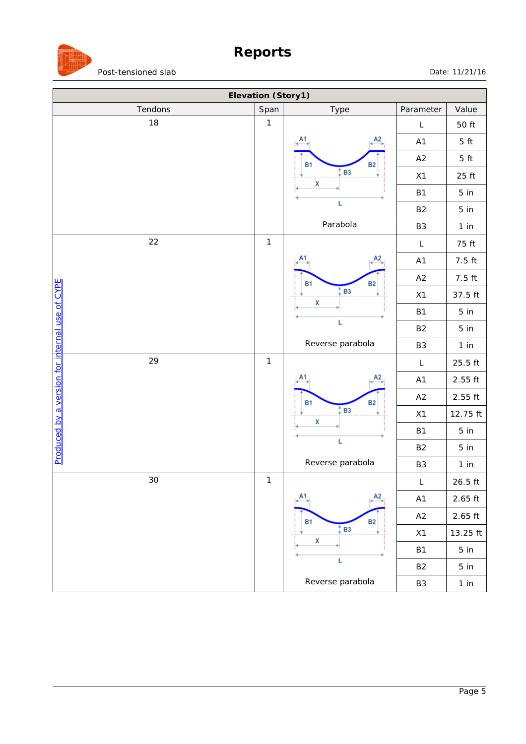

| Elevation (Story1)                             |                  |                                              |                   |                 |  |
|------------------------------------------------|------------------|----------------------------------------------|-------------------|-----------------|--|
| Tendons                                        | Span<br>Type     |                                              |                   | Value           |  |
| 18                                             | $\mathbf{1}$     | $\mathsf L$                                  | 50 ft             |                 |  |
|                                                |                  |                                              | A1                | $5$ ft          |  |
|                                                |                  | <b>B1</b><br><b>B2</b>                       | A2                | 5 <sub>ft</sub> |  |
|                                                |                  | B <sub>3</sub><br>X                          | X1                | 25 ft           |  |
|                                                |                  |                                              | <b>B1</b>         | 5 in            |  |
|                                                |                  | L                                            | <b>B2</b>         | 5 in            |  |
|                                                |                  | Parabola                                     | B <sub>3</sub>    | 1 in            |  |
| 22                                             | $\mathbf{1}$     |                                              | $\mathsf L$       | 75 ft           |  |
|                                                |                  |                                              | A1                | 7.5 ft          |  |
|                                                | <b>B1</b>        | <b>B2</b>                                    | A2                | 7.5 ft          |  |
|                                                |                  | <b>B3</b><br>X                               | X1                | 37.5 ft         |  |
|                                                |                  |                                              | <b>B1</b>         | 5 in            |  |
|                                                |                  | L                                            | <b>B2</b>         | 5 in            |  |
| Produced by a version for internal use of CYPE | Reverse parabola | B <sub>3</sub>                               | 1 in              |                 |  |
| 29                                             | $\mathbf{1}$     |                                              | $\mathsf L$       | $25.5$ ft       |  |
|                                                |                  |                                              | A1                | $2.55$ ft       |  |
|                                                |                  | <b>B1</b><br><b>B2</b>                       | A2                | $2.55$ ft       |  |
|                                                |                  | B <sub>3</sub><br>X<br>L<br>Reverse parabola | X1                | 12.75 ft        |  |
|                                                |                  |                                              | <b>B1</b>         | 5 in            |  |
|                                                |                  |                                              | <b>B2</b>         | 5 in            |  |
|                                                |                  |                                              | B <sub>3</sub>    | 1 in            |  |
| 30                                             | $\mathbf{1}$     |                                              | $\mathsf{L}$      | $26.5$ ft       |  |
|                                                |                  | А2                                           | A1                | $2.65$ ft       |  |
|                                                |                  | <b>B1</b><br><b>B2</b>                       | A2                | $2.65$ ft       |  |
|                                                |                  | <b>B3</b><br>X                               | $\boldsymbol{X1}$ | 13.25 ft        |  |
|                                                |                  |                                              | <b>B1</b>         | 5 in            |  |
|                                                |                  | L                                            | <b>B2</b>         | 5 in            |  |
|                                                |                  | Reverse parabola                             | B3                | $1$ in          |  |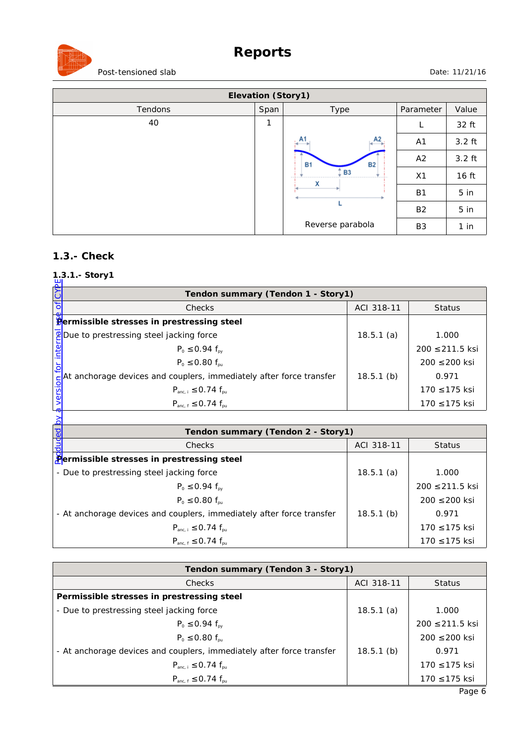# **Reports**



Post-tensioned slab Date: 11/21/16

| Elevation (Story1) |                        |                  |                |                 |  |
|--------------------|------------------------|------------------|----------------|-----------------|--|
| Tendons            | Span                   | Type             | Parameter      | Value           |  |
| 40                 | 1                      |                  | L              | 32 ft           |  |
|                    |                        | A2<br><b>A</b>   | A1             | $3.2$ ft        |  |
|                    | <b>B1</b><br><b>B2</b> | A2               | $3.2$ ft       |                 |  |
|                    |                        | <b>B3</b><br>x   | X1             | 16 ft           |  |
|                    |                        |                  | <b>B1</b>      | 5 <sub>in</sub> |  |
|                    |                        |                  | <b>B2</b>      | $5$ in          |  |
|                    |                        | Reverse parabola | B <sub>3</sub> | $1$ in          |  |

#### **1.3.- Check**

# **1.3.1.- Story1**

| Ĕ     | Tendon summary (Tendon 1 - Story1)                                                                                                                                     |              |                     |  |  |  |  |  |
|-------|------------------------------------------------------------------------------------------------------------------------------------------------------------------------|--------------|---------------------|--|--|--|--|--|
|       | Checks                                                                                                                                                                 | ACI 318-11   | <b>Status</b>       |  |  |  |  |  |
|       | Bermissible stresses in prestressing steel                                                                                                                             |              |                     |  |  |  |  |  |
|       | <b>PDue to prestressing steel jacking force</b>                                                                                                                        | 18.5.1(a)    | 1.000               |  |  |  |  |  |
|       | $P_0 \le 0.94 f_{\text{ov}}$                                                                                                                                           |              | $200 \le 211.5$ ksi |  |  |  |  |  |
|       |                                                                                                                                                                        |              | 200 ≤ 200 ksi       |  |  |  |  |  |
|       |                                                                                                                                                                        | $18.5.1$ (b) | 0.971               |  |  |  |  |  |
|       | $P_0 \le 0.80 f_{pu}$<br>$\begin{cases}\n\frac{C}{50}\n\end{cases}$ At anchorage devices and couplers, immediately after force transfer<br>$P_{anc,i} \le 0.74 f_{nu}$ |              | $170 \le 175$ ksi   |  |  |  |  |  |
|       | $P_{anc, f} \le 0.74 f_{pu}$                                                                                                                                           |              | 170 ≤ 175 ksi       |  |  |  |  |  |
|       |                                                                                                                                                                        |              |                     |  |  |  |  |  |
|       | Tendon summary (Tendon 2 - Story1)                                                                                                                                     |              |                     |  |  |  |  |  |
| duded | Checks                                                                                                                                                                 | ACI 318-11   | <b>Status</b>       |  |  |  |  |  |
|       | <b>Permissible stresses in prestressing steel</b>                                                                                                                      |              |                     |  |  |  |  |  |

| Tendon summary (Tendon 2 - Story1)                                    |              |                 |  |  |  |  |
|-----------------------------------------------------------------------|--------------|-----------------|--|--|--|--|
| <b>Checks</b>                                                         | ACI 318-11   | <b>Status</b>   |  |  |  |  |
| Permissible stresses in prestressing steel                            |              |                 |  |  |  |  |
| - Due to prestressing steel jacking force                             | 18.5.1(a)    | 1.000           |  |  |  |  |
| $P_0 \le 0.94 f_{\text{av}}$                                          |              | 200 ≤ 211.5 ksi |  |  |  |  |
| $P_0 \le 0.80 f_{\text{pu}}$                                          |              | 200 ≤ 200 ksi   |  |  |  |  |
| - At anchorage devices and couplers, immediately after force transfer | $18.5.1$ (b) | 0.971           |  |  |  |  |
| $P_{anc,i} \le 0.74 f_{nu}$                                           |              | 170 ≤ 175 ksi   |  |  |  |  |
| $P_{\text{anc. f}} \le 0.74 f_{\text{nu}}$                            |              | 170 ≤ 175 ksi   |  |  |  |  |

| Tendon summary (Tendon 3 - Story1)                                    |              |                   |  |  |  |
|-----------------------------------------------------------------------|--------------|-------------------|--|--|--|
| <b>Checks</b>                                                         | ACI 318-11   | <b>Status</b>     |  |  |  |
| Permissible stresses in prestressing steel                            |              |                   |  |  |  |
| - Due to prestressing steel jacking force                             | 18.5.1(a)    | 1.000             |  |  |  |
| $P_0 \le 0.94 f_{\text{av}}$                                          |              | 200 ≤ 211.5 ksi   |  |  |  |
| $P_0 \leq 0.80 f_{\text{out}}$                                        |              | $200 \le 200$ ksi |  |  |  |
| - At anchorage devices and couplers, immediately after force transfer | $18.5.1$ (b) | 0.971             |  |  |  |
| $P_{\text{anc, i}} \le 0.74 f_{\text{pu}}$                            |              | 170 ≤ 175 ksi     |  |  |  |
| $P_{\text{anc. f}} \le 0.74 f_{\text{nu}}$                            |              | 170 ≤ 175 ksi     |  |  |  |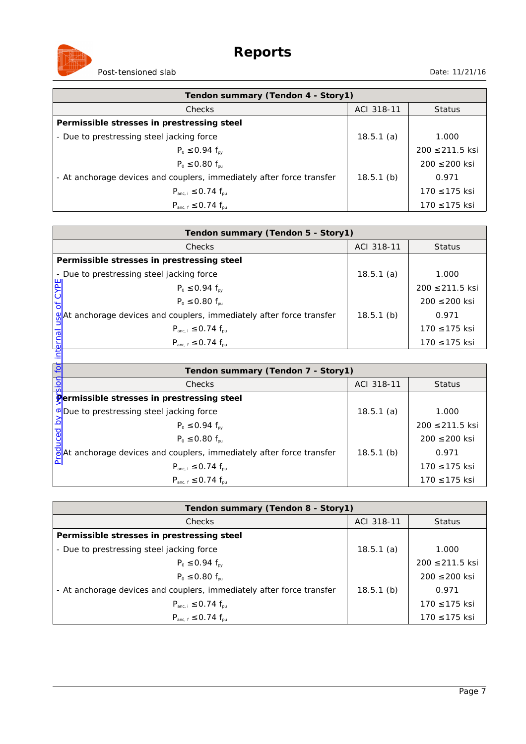

| Tendon summary (Tendon 4 - Story1)                                    |              |                   |  |  |  |
|-----------------------------------------------------------------------|--------------|-------------------|--|--|--|
| <b>Checks</b>                                                         | ACI 318-11   | <b>Status</b>     |  |  |  |
| Permissible stresses in prestressing steel                            |              |                   |  |  |  |
| - Due to prestressing steel jacking force                             | 18.5.1(a)    | 1.000             |  |  |  |
| $P_0 \le 0.94 f_{\text{av}}$                                          |              | 200 ≤ 211.5 ksi   |  |  |  |
| $P_0 \le 0.80 f_{\text{pu}}$                                          |              | $200 \le 200$ ksi |  |  |  |
| - At anchorage devices and couplers, immediately after force transfer | $18.5.1$ (b) | 0.971             |  |  |  |
| $P_{anc, i} \le 0.74 f_{pu}$                                          |              | $170 \le 175$ ksi |  |  |  |
| $P_{\text{anc. f}} \le 0.74 f_{\text{nu}}$                            |              | 170 ≤ 175 ksi     |  |  |  |

| Tendon summary (Tendon 5 - Story1)                                                |              |                   |  |  |  |  |
|-----------------------------------------------------------------------------------|--------------|-------------------|--|--|--|--|
| <b>Checks</b>                                                                     | ACI 318-11   | Status            |  |  |  |  |
| Permissible stresses in prestressing steel                                        |              |                   |  |  |  |  |
| - Due to prestressing steel jacking force                                         | 18.5.1(a)    | 1.000             |  |  |  |  |
| $P_0 \le 0.94 f_{\text{py}}$                                                      |              | 200 ≤ 211.5 ksi   |  |  |  |  |
| $P_0 \le 0.80 f_{\text{pu}}$                                                      |              | $200 \le 200$ ksi |  |  |  |  |
| $\mathcal{Q}$ At anchorage devices and couplers, immediately after force transfer | $18.5.1$ (b) | 0.971             |  |  |  |  |
| $P_{\text{anc, i}} \le 0.74 f_{\text{pu}}$                                        |              | $170 \le 175$ ksi |  |  |  |  |
| $P_{anc.f} \leq 0.74 f_{pu}$                                                      |              | 170 ≤ 175 ksi     |  |  |  |  |
|                                                                                   |              |                   |  |  |  |  |

| Ä        | $P_0 \le 0.94 f_{py}$                                                             |              | $200 \le 211.5$ ksi |
|----------|-----------------------------------------------------------------------------------|--------------|---------------------|
|          | $P_0 \leq 0.80 f_{\text{out}}$                                                    |              | $200 \le 200$ ksi   |
|          | %At anchorage devices and couplers, immediately after force transfer              | $18.5.1$ (b) | 0.971               |
| $\sigma$ | $P_{anc,i} \le 0.74 f_{nu}$                                                       |              | 170 ≤ 175 ksi       |
| interna  | $P_{anc.f} \leq 0.74 f_{pu}$                                                      |              | 170 ≤ 175 ksi       |
|          |                                                                                   |              |                     |
| ίō       | Tendon summary (Tendon 7 - Story1)                                                |              |                     |
|          | <b>Checks</b>                                                                     | ACI 318-11   | <b>Status</b>       |
|          | <b>Permissible stresses in prestressing steel</b>                                 |              |                     |
|          | <b>V</b> Due to prestressing steel jacking force                                  | 18.5.1(a)    | 1.000               |
| ರ        | $P_0 \le 0.94 f_{\text{ov}}$                                                      |              | 200 ≤ 211.5 ksi     |
|          | $P_0 \leq 0.80 f_{\text{nu}}$                                                     |              | 200 ≤ 200 ksi       |
|          | $\frac{1}{6}$ At anchorage devices and couplers, immediately after force transfer | $18.5.1$ (b) | 0.971               |
|          | $P_{anc,i} \le 0.74 f_{nu}$                                                       |              | 170 ≤ 175 ksi       |
|          | $P_{anc, f} \le 0.74 f_{pu}$                                                      |              | 170 ≤ 175 ksi       |

| Tendon summary (Tendon 8 - Story1)                                    |              |                     |
|-----------------------------------------------------------------------|--------------|---------------------|
| <b>Checks</b>                                                         | ACI 318-11   | <b>Status</b>       |
| Permissible stresses in prestressing steel                            |              |                     |
| - Due to prestressing steel jacking force                             | 18.5.1(a)    | 1.000               |
| $P_0 \le 0.94 f_{\text{av}}$                                          |              | $200 \le 211.5$ ksi |
| $P_0 \leq 0.80 f_{\text{pu}}$                                         |              | $200 \le 200$ ksi   |
| - At anchorage devices and couplers, immediately after force transfer | $18.5.1$ (b) | 0.971               |
| $P_{\text{anc. i}} \le 0.74 f_{\text{nu}}$                            |              | 170 ≤ 175 ksi       |
| $P_{\text{anc. f}} \le 0.74 f_{\text{nu}}$                            |              | 170 ≤ 175 ksi       |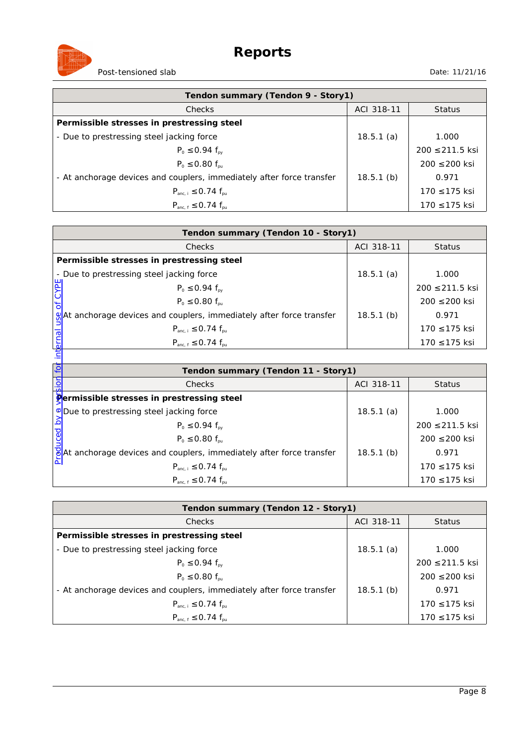

| Tendon summary (Tendon 9 - Story1)                                    |              |                   |
|-----------------------------------------------------------------------|--------------|-------------------|
| <b>Checks</b>                                                         | ACI 318-11   | <b>Status</b>     |
| Permissible stresses in prestressing steel                            |              |                   |
| - Due to prestressing steel jacking force                             | 18.5.1(a)    | 1.000             |
| $P_0 \le 0.94 f_{\text{av}}$                                          |              | 200 ≤ 211.5 ksi   |
| $P_0 \le 0.80 f_{\text{pu}}$                                          |              | $200 \le 200$ ksi |
| - At anchorage devices and couplers, immediately after force transfer | $18.5.1$ (b) | 0.971             |
| $P_{anc, i} \le 0.74 f_{pu}$                                          |              | $170 \le 175$ ksi |
| $P_{\text{anc. f}} \le 0.74 f_{\text{nu}}$                            |              | 170 ≤ 175 ksi     |

| Tendon summary (Tendon 10 - Story1)                                               |              |                   |  |
|-----------------------------------------------------------------------------------|--------------|-------------------|--|
| <b>Checks</b>                                                                     | ACI 318-11   | <b>Status</b>     |  |
| Permissible stresses in prestressing steel                                        |              |                   |  |
| - Due to prestressing steel jacking force                                         | 18.5.1(a)    | 1.000             |  |
| $P_0 \le 0.94 f_{\text{py}}$                                                      |              | 200 ≤ 211.5 ksi   |  |
| $P_0 \le 0.80 f_{\text{pu}}$                                                      |              | $200 \le 200$ ksi |  |
| $\mathcal{Q}$ At anchorage devices and couplers, immediately after force transfer | $18.5.1$ (b) | 0.971             |  |
| $P_{anc,i} \le 0.74 f_{nu}$                                                       |              | $170 \le 175$ ksi |  |
| $P_{anc.f} \leq 0.74 f_{pu}$                                                      |              | 170 ≤ 175 ksi     |  |
|                                                                                   |              |                   |  |

| Ä        | $P_0 \le 0.94 f_{py}$                                                             |              | $200 \le 211.5$ ksi |
|----------|-----------------------------------------------------------------------------------|--------------|---------------------|
|          | $P_0 \leq 0.80 f_{\text{out}}$                                                    |              | $200 \le 200$ ksi   |
|          | %At anchorage devices and couplers, immediately after force transfer              | $18.5.1$ (b) | 0.971               |
| $\sigma$ | $P_{anc,i} \le 0.74 f_{nu}$                                                       |              | 170 ≤ 175 ksi       |
| interna  | $P_{anc.f} \leq 0.74 f_{pu}$                                                      |              | 170 ≤ 175 ksi       |
|          |                                                                                   |              |                     |
| ίō       | Tendon summary (Tendon 11 - Story1)                                               |              |                     |
|          | <b>Checks</b>                                                                     | ACI 318-11   | <b>Status</b>       |
|          | <b>Permissible stresses in prestressing steel</b>                                 |              |                     |
|          | <b>V</b> Due to prestressing steel jacking force                                  | 18.5.1(a)    | 1.000               |
| ರ        | $P_0 \le 0.94 f_{\text{ov}}$                                                      |              | 200 ≤ 211.5 ksi     |
|          | $P_0 \leq 0.80 f_{\text{nu}}$                                                     |              | 200 ≤ 200 ksi       |
|          | $\frac{1}{2}$ At anchorage devices and couplers, immediately after force transfer | $18.5.1$ (b) | 0.971               |
|          | $P_{anc,i} \le 0.74 f_{nu}$                                                       |              | 170 ≤ 175 ksi       |
|          | $P_{anc, f} \le 0.74 f_{pu}$                                                      |              | 170 ≤ 175 ksi       |

| Tendon summary (Tendon 12 - Story1)                                   |              |                     |
|-----------------------------------------------------------------------|--------------|---------------------|
| <b>Checks</b>                                                         | ACI 318-11   | <b>Status</b>       |
| Permissible stresses in prestressing steel                            |              |                     |
| - Due to prestressing steel jacking force                             | 18.5.1(a)    | 1.000               |
| $P_0 \le 0.94 f_{\text{av}}$                                          |              | $200 \le 211.5$ ksi |
| $P_0 \leq 0.80 f_{\text{pu}}$                                         |              | $200 \le 200$ ksi   |
| - At anchorage devices and couplers, immediately after force transfer | $18.5.1$ (b) | 0.971               |
| $P_{anc,i} \le 0.74 f_{nu}$                                           |              | 170 ≤ 175 ksi       |
| $P_{\text{anc. f}} \le 0.74 f_{\text{nu}}$                            |              | 170 ≤ 175 ksi       |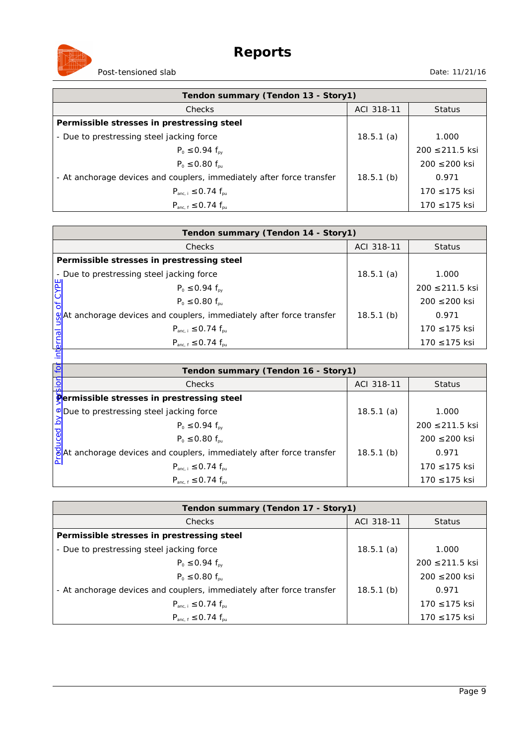

| Tendon summary (Tendon 13 - Story1)                                   |              |                   |
|-----------------------------------------------------------------------|--------------|-------------------|
| <b>Checks</b>                                                         | ACI 318-11   | <b>Status</b>     |
| Permissible stresses in prestressing steel                            |              |                   |
| - Due to prestressing steel jacking force                             | 18.5.1(a)    | 1.000             |
| $P_0 \le 0.94 f_{\text{av}}$                                          |              | 200 ≤ 211.5 ksi   |
| $P_0 \le 0.80 f_{\text{pu}}$                                          |              | $200 \le 200$ ksi |
| - At anchorage devices and couplers, immediately after force transfer | $18.5.1$ (b) | 0.971             |
| $P_{anc, i} \le 0.74 f_{pu}$                                          |              | $170 \le 175$ ksi |
| $P_{\text{anc. f}} \le 0.74 f_{\text{nu}}$                            |              | 170 ≤ 175 ksi     |

| Tendon summary (Tendon 14 - Story1)                                               |              |                   |  |
|-----------------------------------------------------------------------------------|--------------|-------------------|--|
| <b>Checks</b>                                                                     | ACI 318-11   | <b>Status</b>     |  |
| Permissible stresses in prestressing steel                                        |              |                   |  |
| - Due to prestressing steel jacking force                                         | 18.5.1(a)    | 1.000             |  |
| $P_0 \le 0.94 f_{\text{py}}$                                                      |              | 200 ≤ 211.5 ksi   |  |
| $P_0 \le 0.80 f_{\text{pu}}$                                                      |              | $200 \le 200$ ksi |  |
| $\mathcal{Q}$ At anchorage devices and couplers, immediately after force transfer | $18.5.1$ (b) | 0.971             |  |
| $P_{anc,i} \le 0.74 f_{nu}$                                                       |              | $170 \le 175$ ksi |  |
| $P_{anc.f} \leq 0.74 f_{pu}$                                                      |              | 170 ≤ 175 ksi     |  |
|                                                                                   |              |                   |  |

| ψĚ       | $P_0 \le 0.94 f_{\text{py}}$                                                      |              | $200 \le 211.5$ ksi |
|----------|-----------------------------------------------------------------------------------|--------------|---------------------|
|          | $P_0 \leq 0.80 f_{\text{out}}$                                                    |              | $200 \le 200$ ksi   |
|          | %At anchorage devices and couplers, immediately after force transfer              | $18.5.1$ (b) | 0.971               |
| $\sigma$ | $P_{anc,i} \le 0.74 f_{nu}$                                                       |              | 170 ≤ 175 ksi       |
| interna  | $P_{anc.f} \leq 0.74 f_{pu}$                                                      |              | 170 ≤ 175 ksi       |
|          |                                                                                   |              |                     |
| ίō       | Tendon summary (Tendon 16 - Story1)                                               |              |                     |
|          | <b>Checks</b>                                                                     | ACI 318-11   | <b>Status</b>       |
|          | <b>Permissible stresses in prestressing steel</b>                                 |              |                     |
|          | <b>V</b> Due to prestressing steel jacking force                                  | 18.5.1(a)    | 1.000               |
| ರ        | $P_0 \le 0.94 f_{\text{ov}}$                                                      |              | 200 ≤ 211.5 ksi     |
|          | $P_0 \leq 0.80 f_{\text{nu}}$                                                     |              | 200 ≤ 200 ksi       |
|          | $\frac{1}{2}$ At anchorage devices and couplers, immediately after force transfer | $18.5.1$ (b) | 0.971               |
|          | $P_{anc,i} \le 0.74 f_{nu}$                                                       |              | 170 ≤ 175 ksi       |
|          | $P_{anc, f} \le 0.74 f_{pu}$                                                      |              | 170 ≤ 175 ksi       |

| Tendon summary (Tendon 17 - Story1)                                   |              |                   |
|-----------------------------------------------------------------------|--------------|-------------------|
| <b>Checks</b>                                                         | ACI 318-11   | <b>Status</b>     |
| Permissible stresses in prestressing steel                            |              |                   |
| - Due to prestressing steel jacking force                             | 18.5.1(a)    | 1.000             |
| $P_0 \le 0.94 f_{\text{av}}$                                          |              | 200 ≤ 211.5 ksi   |
| $P_0 \le 0.80 f_{\text{pu}}$                                          |              | $200 \le 200$ ksi |
| - At anchorage devices and couplers, immediately after force transfer | $18.5.1$ (b) | 0.971             |
| $P_{anc,i} \le 0.74 f_{nu}$                                           |              | 170 ≤ 175 ksi     |
| $P_{\text{anc. f}} \le 0.74 f_{\text{nu}}$                            |              | 170 ≤ 175 ksi     |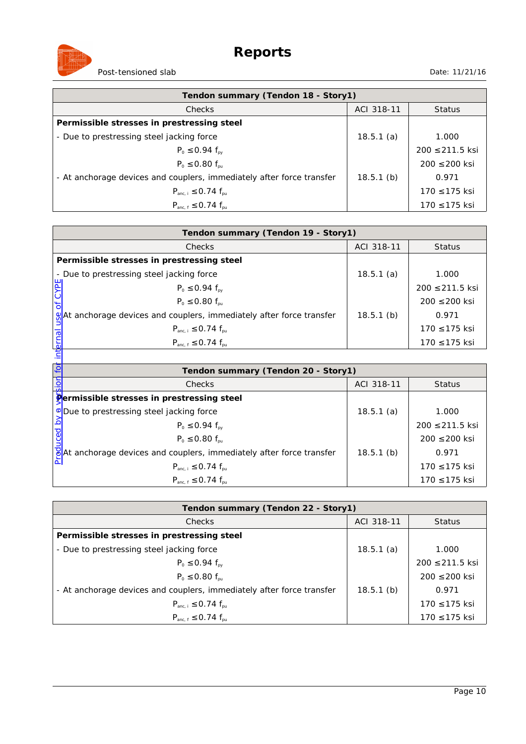

| Tendon summary (Tendon 18 - Story1)                                   |              |                   |
|-----------------------------------------------------------------------|--------------|-------------------|
| Checks                                                                | ACI 318-11   | <b>Status</b>     |
| Permissible stresses in prestressing steel                            |              |                   |
| - Due to prestressing steel jacking force                             | 18.5.1(a)    | 1.000             |
| $P_0 \le 0.94 f_{\text{av}}$                                          |              | 200 ≤ 211.5 ksi   |
| $P_0 \le 0.80 f_{\text{pu}}$                                          |              | $200 \le 200$ ksi |
| - At anchorage devices and couplers, immediately after force transfer | $18.5.1$ (b) | 0.971             |
| $P_{anc, i} \le 0.74 f_{pu}$                                          |              | 170 ≤ 175 ksi     |
| $P_{\text{anc. f}} \le 0.74 f_{\text{nu}}$                            |              | 170 ≤ 175 ksi     |

| Tendon summary (Tendon 19 - Story1)                                               |              |                   |  |
|-----------------------------------------------------------------------------------|--------------|-------------------|--|
| <b>Checks</b>                                                                     | ACI 318-11   | <b>Status</b>     |  |
| Permissible stresses in prestressing steel                                        |              |                   |  |
| - Due to prestressing steel jacking force                                         | 18.5.1(a)    | 1.000             |  |
| $P_0 \le 0.94 f_{\text{py}}$                                                      |              | 200 ≤ 211.5 ksi   |  |
| $P_0 \le 0.80 f_{\text{pu}}$                                                      |              | $200 \le 200$ ksi |  |
| $\mathcal{Q}$ At anchorage devices and couplers, immediately after force transfer | $18.5.1$ (b) | 0.971             |  |
| $P_{anc,i} \le 0.74 f_{nu}$                                                       |              | $170 \le 175$ ksi |  |
| $P_{anc.f} \leq 0.74 f_{pu}$                                                      |              | 170 ≤ 175 ksi     |  |
|                                                                                   |              |                   |  |

| ψĚ       | $P_0 \le 0.94 f_{\text{py}}$                                                      |              | $200 \le 211.5$ ksi |
|----------|-----------------------------------------------------------------------------------|--------------|---------------------|
|          | $P_0 \leq 0.80 f_{\text{out}}$                                                    |              | $200 \le 200$ ksi   |
|          | %At anchorage devices and couplers, immediately after force transfer              | $18.5.1$ (b) | 0.971               |
| $\sigma$ | $P_{anc,i} \le 0.74 f_{nu}$                                                       |              | 170 ≤ 175 ksi       |
| interna  | $P_{anc.f} \leq 0.74 f_{pu}$                                                      |              | 170 ≤ 175 ksi       |
|          |                                                                                   |              |                     |
| ίō       | Tendon summary (Tendon 20 - Story1)                                               |              |                     |
|          | <b>Checks</b>                                                                     | ACI 318-11   | <b>Status</b>       |
|          | <b>Permissible stresses in prestressing steel</b>                                 |              |                     |
|          | <b>V</b> Due to prestressing steel jacking force                                  | 18.5.1(a)    | 1.000               |
| ರ        | $P_0 \le 0.94 f_{\text{ov}}$                                                      |              | 200 ≤ 211.5 ksi     |
|          | $P_0 \leq 0.80 f_{\text{nu}}$                                                     |              | 200 ≤ 200 ksi       |
|          | $\frac{1}{2}$ At anchorage devices and couplers, immediately after force transfer | $18.5.1$ (b) | 0.971               |
|          | $P_{anc,i} \le 0.74 f_{nu}$                                                       |              | 170 ≤ 175 ksi       |
|          | $P_{anc, f} \le 0.74 f_{pu}$                                                      |              | 170 ≤ 175 ksi       |

| Tendon summary (Tendon 22 - Story1)                                   |              |                     |
|-----------------------------------------------------------------------|--------------|---------------------|
| Checks                                                                | ACI 318-11   | <b>Status</b>       |
| Permissible stresses in prestressing steel                            |              |                     |
| - Due to prestressing steel jacking force                             | 18.5.1(a)    | 1.000               |
| $P_0 \le 0.94 f_{\text{av}}$                                          |              | $200 \le 211.5$ ksi |
| $P_0 \leq 0.80 f_{\text{nu}}$                                         |              | 200 ≤ 200 ksi       |
| - At anchorage devices and couplers, immediately after force transfer | $18.5.1$ (b) | 0.971               |
| $P_{\text{anc. i}} \le 0.74 f_{\text{nu}}$                            |              | 170 ≤ 175 ksi       |
| $P_{anc.f} \le 0.74 f_{pu}$                                           |              | 170 ≤ 175 ksi       |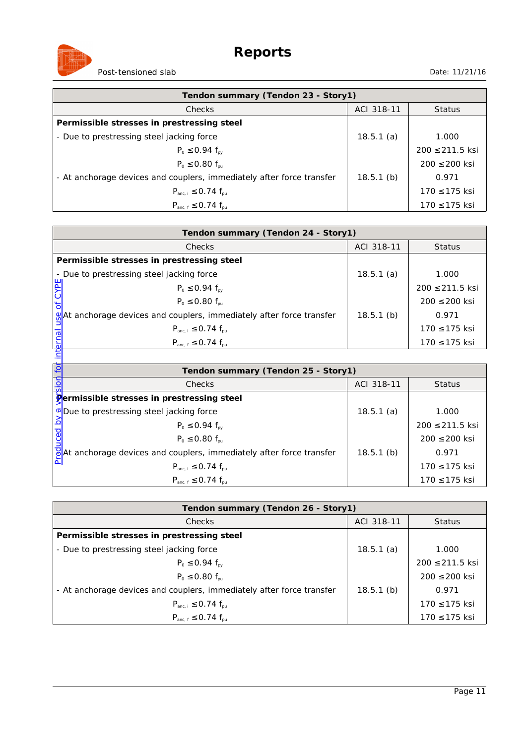

| Tendon summary (Tendon 23 - Story1)                                   |              |                   |
|-----------------------------------------------------------------------|--------------|-------------------|
| <b>Checks</b>                                                         | ACI 318-11   | <b>Status</b>     |
| Permissible stresses in prestressing steel                            |              |                   |
| - Due to prestressing steel jacking force                             | 18.5.1(a)    | 1.000             |
| $P_0 \le 0.94 f_{\text{av}}$                                          |              | 200 ≤ 211.5 ksi   |
| $P_0 \le 0.80 f_{\text{pu}}$                                          |              | $200 \le 200$ ksi |
| - At anchorage devices and couplers, immediately after force transfer | $18.5.1$ (b) | 0.971             |
| $P_{anc, i} \le 0.74 f_{pu}$                                          |              | $170 \le 175$ ksi |
| $P_{\text{anc. f}} \le 0.74 f_{\text{nu}}$                            |              | 170 ≤ 175 ksi     |

| Tendon summary (Tendon 24 - Story1)                                               |              |                   |  |
|-----------------------------------------------------------------------------------|--------------|-------------------|--|
| <b>Checks</b>                                                                     | ACI 318-11   | <b>Status</b>     |  |
| Permissible stresses in prestressing steel                                        |              |                   |  |
| - Due to prestressing steel jacking force                                         | 18.5.1(a)    | 1.000             |  |
| $P_0 \le 0.94 f_{\text{py}}$                                                      |              | 200 ≤ 211.5 ksi   |  |
| $P_0 \le 0.80 f_{\text{pu}}$                                                      |              | $200 \le 200$ ksi |  |
| $\mathcal{Q}$ At anchorage devices and couplers, immediately after force transfer | $18.5.1$ (b) | 0.971             |  |
| $P_{anc,i} \le 0.74 f_{nu}$                                                       |              | $170 \le 175$ ksi |  |
| $P_{anc.f} \leq 0.74 f_{pu}$                                                      |              | 170 ≤ 175 ksi     |  |
|                                                                                   |              |                   |  |

| ψĚ       | $P_0 \le 0.94 f_{\text{py}}$                                                      |              | $200 \le 211.5$ ksi |
|----------|-----------------------------------------------------------------------------------|--------------|---------------------|
|          | $P_0 \leq 0.80 f_{\text{out}}$                                                    |              | $200 \le 200$ ksi   |
|          | %At anchorage devices and couplers, immediately after force transfer              | $18.5.1$ (b) | 0.971               |
| $\sigma$ | $P_{anc,i} \le 0.74 f_{nu}$                                                       |              | 170 ≤ 175 ksi       |
| interna  | $P_{anc.f} \leq 0.74 f_{pu}$                                                      |              | 170 ≤ 175 ksi       |
|          |                                                                                   |              |                     |
| ίō       | Tendon summary (Tendon 25 - Story1)                                               |              |                     |
|          | <b>Checks</b>                                                                     | ACI 318-11   | <b>Status</b>       |
|          | <b>Permissible stresses in prestressing steel</b>                                 |              |                     |
|          | <b>V</b> Due to prestressing steel jacking force                                  | 18.5.1(a)    | 1.000               |
| ರ        | $P_0 \le 0.94 f_{\text{ov}}$                                                      |              | 200 ≤ 211.5 ksi     |
|          | $P_0 \leq 0.80 f_{\text{nu}}$                                                     |              | 200 ≤ 200 ksi       |
|          | $\frac{1}{2}$ At anchorage devices and couplers, immediately after force transfer | $18.5.1$ (b) | 0.971               |
|          | $P_{anc,i} \le 0.74 f_{nu}$                                                       |              | 170 ≤ 175 ksi       |
|          | $P_{anc, f} \le 0.74 f_{pu}$                                                      |              | 170 ≤ 175 ksi       |

| Tendon summary (Tendon 26 - Story1)                                   |              |                     |
|-----------------------------------------------------------------------|--------------|---------------------|
| <b>Checks</b>                                                         | ACI 318-11   | <b>Status</b>       |
| Permissible stresses in prestressing steel                            |              |                     |
| - Due to prestressing steel jacking force                             | 18.5.1(a)    | 1.000               |
| $P_0 \le 0.94 f_{\text{py}}$                                          |              | $200 \le 211.5$ ksi |
| $P_0 \leq 0.80 f_{\text{nu}}$                                         |              | $200 \le 200$ ksi   |
| - At anchorage devices and couplers, immediately after force transfer | $18.5.1$ (b) | 0.971               |
| $P_{\text{anc. i}} \le 0.74 f_{\text{nu}}$                            |              | 170 ≤ 175 ksi       |
| $P_{\text{anc. f}} \le 0.74 f_{\text{nu}}$                            |              | 170 ≤ 175 ksi       |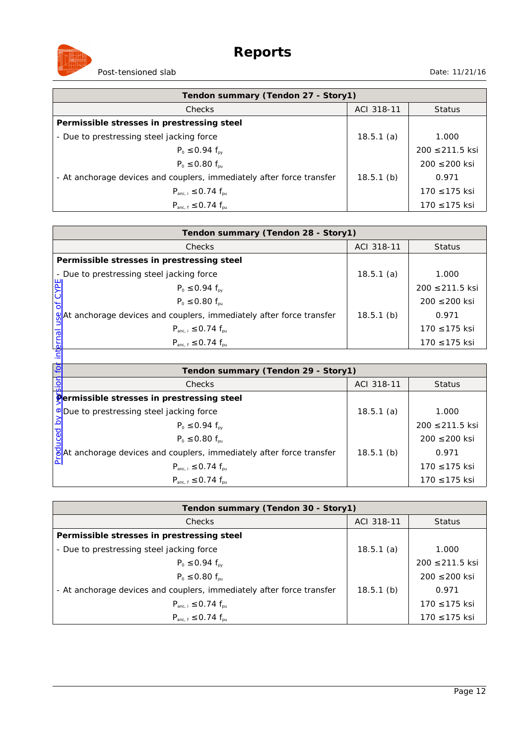

| Tendon summary (Tendon 27 - Story1)                                   |              |                   |
|-----------------------------------------------------------------------|--------------|-------------------|
| Checks                                                                | ACI 318-11   | <b>Status</b>     |
| Permissible stresses in prestressing steel                            |              |                   |
| - Due to prestressing steel jacking force                             | 18.5.1(a)    | 1.000             |
| $P_0 \le 0.94 f_{\text{av}}$                                          |              | 200 ≤ 211.5 ksi   |
| $P_0 \le 0.80 f_{\text{pu}}$                                          |              | $200 \le 200$ ksi |
| - At anchorage devices and couplers, immediately after force transfer | $18.5.1$ (b) | 0.971             |
| $P_{anc, i} \le 0.74 f_{pu}$                                          |              | 170 ≤ 175 ksi     |
| $P_{\text{anc. f}} \le 0.74 f_{\text{nu}}$                            |              | 170 ≤ 175 ksi     |

| Tendon summary (Tendon 28 - Story1)                                               |              |                   |  |
|-----------------------------------------------------------------------------------|--------------|-------------------|--|
| <b>Checks</b>                                                                     | ACI 318-11   | <b>Status</b>     |  |
| Permissible stresses in prestressing steel                                        |              |                   |  |
| - Due to prestressing steel jacking force                                         | 18.5.1(a)    | 1.000             |  |
| $P_0 \le 0.94 f_{\text{py}}$                                                      |              | 200 ≤ 211.5 ksi   |  |
| $P_0 \le 0.80 f_{\text{pu}}$                                                      |              | $200 \le 200$ ksi |  |
| $\mathcal{Q}$ At anchorage devices and couplers, immediately after force transfer | $18.5.1$ (b) | 0.971             |  |
| $P_{anc,i} \le 0.74 f_{nu}$                                                       |              | $170 \le 175$ ksi |  |
| $P_{anc.f} \leq 0.74 f_{pu}$                                                      |              | 170 ≤ 175 ksi     |  |
|                                                                                   |              |                   |  |

| ψĚ       | $P_0 \le 0.94 f_{\text{py}}$                                                      |              | $200 \le 211.5$ ksi |
|----------|-----------------------------------------------------------------------------------|--------------|---------------------|
|          | $P_0 \leq 0.80 f_{\text{out}}$                                                    |              | $200 \le 200$ ksi   |
|          | %At anchorage devices and couplers, immediately after force transfer              | $18.5.1$ (b) | 0.971               |
| $\sigma$ | $P_{anc,i} \le 0.74 f_{nu}$                                                       |              | 170 ≤ 175 ksi       |
| interna  | $P_{anc.f} \leq 0.74 f_{pu}$                                                      |              | 170 ≤ 175 ksi       |
|          |                                                                                   |              |                     |
| ίō       | Tendon summary (Tendon 29 - Story1)                                               |              |                     |
|          | <b>Checks</b>                                                                     | ACI 318-11   | <b>Status</b>       |
|          | <b>Permissible stresses in prestressing steel</b>                                 |              |                     |
|          | <b>V</b> Due to prestressing steel jacking force                                  | 18.5.1(a)    | 1.000               |
| ರ        | $P_0 \le 0.94 f_{\text{ov}}$                                                      |              | 200 ≤ 211.5 ksi     |
|          | $P_0 \leq 0.80 f_{\text{nu}}$                                                     |              | 200 ≤ 200 ksi       |
|          | $\frac{1}{2}$ At anchorage devices and couplers, immediately after force transfer | $18.5.1$ (b) | 0.971               |
|          | $P_{anc,i} \le 0.74 f_{nu}$                                                       |              | 170 ≤ 175 ksi       |
|          | $P_{anc, f} \le 0.74 f_{pu}$                                                      |              | 170 ≤ 175 ksi       |

| Tendon summary (Tendon 30 - Story1)                                   |              |                     |
|-----------------------------------------------------------------------|--------------|---------------------|
| Checks                                                                | ACI 318-11   | <b>Status</b>       |
| Permissible stresses in prestressing steel                            |              |                     |
| - Due to prestressing steel jacking force                             | 18.5.1(a)    | 1.000               |
| $P_0 \le 0.94 f_{\text{av}}$                                          |              | $200 \le 211.5$ ksi |
| $P_0 \leq 0.80 f_{\text{nu}}$                                         |              | 200 ≤ 200 ksi       |
| - At anchorage devices and couplers, immediately after force transfer | $18.5.1$ (b) | 0.971               |
| $P_{\text{anc. i}} \le 0.74 f_{\text{nu}}$                            |              | 170 ≤ 175 ksi       |
| $P_{anc.f} \le 0.74 f_{pu}$                                           |              | 170 ≤ 175 ksi       |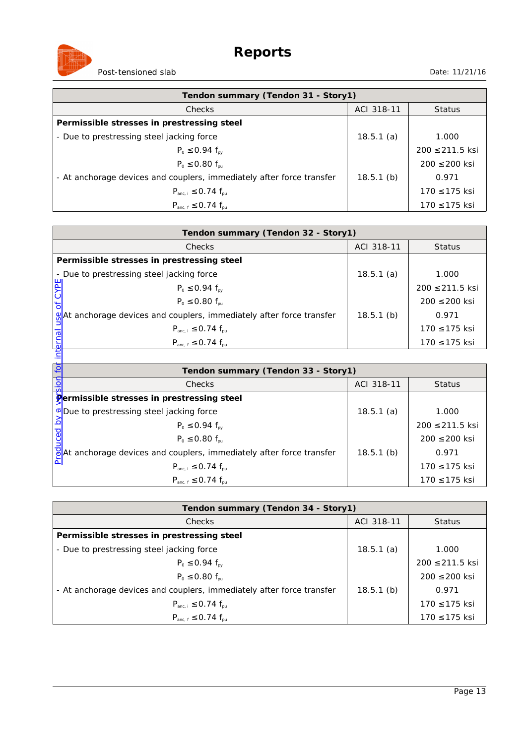

| Tendon summary (Tendon 31 - Story1)                                   |              |                   |
|-----------------------------------------------------------------------|--------------|-------------------|
| <b>Checks</b>                                                         | ACI 318-11   | <b>Status</b>     |
| Permissible stresses in prestressing steel                            |              |                   |
| - Due to prestressing steel jacking force                             | 18.5.1(a)    | 1.000             |
| $P_0 \le 0.94 f_{\text{av}}$                                          |              | 200 ≤ 211.5 ksi   |
| $P_0 \le 0.80 f_{\text{pu}}$                                          |              | $200 \le 200$ ksi |
| - At anchorage devices and couplers, immediately after force transfer | $18.5.1$ (b) | 0.971             |
| $P_{anc, i} \le 0.74 f_{pu}$                                          |              | $170 \le 175$ ksi |
| $P_{\text{anc. f}} \le 0.74 f_{\text{nu}}$                            |              | 170 ≤ 175 ksi     |

|                    | Tendon summary (Tendon 32 - Story1)                                               |              |                   |  |
|--------------------|-----------------------------------------------------------------------------------|--------------|-------------------|--|
|                    | <b>Checks</b>                                                                     | ACI 318-11   | <b>Status</b>     |  |
|                    | Permissible stresses in prestressing steel                                        |              |                   |  |
|                    | - Due to prestressing steel jacking force                                         | 18.5.1(a)    | 1.000             |  |
|                    | $P_0 \le 0.94 f_{\text{av}}$                                                      |              | 200 ≤ 211.5 ksi   |  |
|                    | $P_0 \leq 0.80 f_{\text{out}}$                                                    |              | $200 \le 200$ ksi |  |
|                    | $\mathcal{Q}$ At anchorage devices and couplers, immediately after force transfer | $18.5.1$ (b) | 0.971             |  |
|                    | $P_{anc, i} \le 0.74 f_{pu}$                                                      |              | 170 ≤ 175 ksi     |  |
| $rac{1}{\sqrt{2}}$ | $P_{anc, f} \le 0.74 f_{pu}$                                                      |              | 170 ≤ 175 ksi     |  |
|                    |                                                                                   |              |                   |  |

| Ä                                                              | $P_0 \le 0.94 f_{\text{py}}$                                                      |              | $200 \le 211.5$ ksi |
|----------------------------------------------------------------|-----------------------------------------------------------------------------------|--------------|---------------------|
|                                                                | $P_0 \leq 0.80 f_{\text{out}}$                                                    |              | $200 \le 200$ ksi   |
|                                                                | At anchorage devices and couplers, immediately after force transfer               | $18.5.1$ (b) | 0.971               |
| $\sigma$                                                       | $P_{anc, i} \le 0.74 f_{pu}$                                                      |              | 170 ≤ 175 ksi       |
| interna                                                        | $P_{anc, f} \le 0.74 f_{pu}$                                                      |              | 170 ≤ 175 ksi       |
|                                                                |                                                                                   |              |                     |
| $\overline{\mathsf{C}}$<br>Tendon summary (Tendon 33 - Story1) |                                                                                   |              |                     |
|                                                                | <b>Checks</b>                                                                     | ACI 318-11   | <b>Status</b>       |
|                                                                | Permissible stresses in prestressing steel                                        |              |                     |
|                                                                | <b>V</b> Due to prestressing steel jacking force                                  | 18.5.1(a)    | 1.000               |
|                                                                | $P_0 \le 0.94 f_{av}$                                                             |              | $200 \le 211.5$ ksi |
|                                                                | $P_0 \leq 0.80 f_{\text{nu}}$                                                     |              | 200 ≤ 200 ksi       |
|                                                                | $\frac{1}{6}$ At anchorage devices and couplers, immediately after force transfer | $18.5.1$ (b) | 0.971               |
|                                                                | $P_{anc,i} \le 0.74 f_{nu}$                                                       |              | 170 ≤ 175 ksi       |
|                                                                | $P_{\text{anc. f}} \le 0.74 f_{\text{nu}}$                                        |              | 170 ≤ 175 ksi       |

| Tendon summary (Tendon 34 - Story1)                                   |              |                   |
|-----------------------------------------------------------------------|--------------|-------------------|
| <b>Checks</b>                                                         | ACI 318-11   | <b>Status</b>     |
| Permissible stresses in prestressing steel                            |              |                   |
| - Due to prestressing steel jacking force                             | 18.5.1(a)    | 1.000             |
| $P_0 \le 0.94 f_{\text{av}}$                                          |              | 200 ≤ 211.5 ksi   |
| $P_0 \le 0.80 f_{\text{pu}}$                                          |              | $200 \le 200$ ksi |
| - At anchorage devices and couplers, immediately after force transfer | $18.5.1$ (b) | 0.971             |
| $P_{anc,i} \le 0.74 f_{nu}$                                           |              | 170 ≤ 175 ksi     |
| $P_{anc, f} \le 0.74 f_{pu}$                                          |              | 170 ≤ 175 ksi     |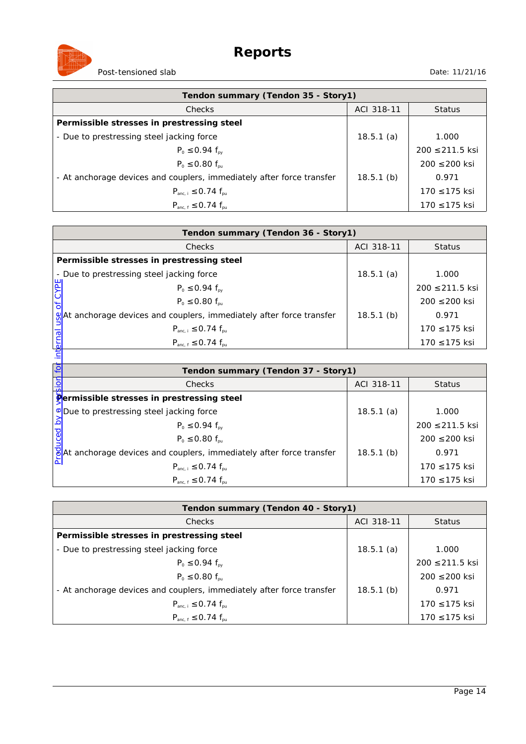

| Tendon summary (Tendon 35 - Story1)                                   |              |                   |
|-----------------------------------------------------------------------|--------------|-------------------|
| <b>Checks</b>                                                         | ACI 318-11   | <b>Status</b>     |
| Permissible stresses in prestressing steel                            |              |                   |
| - Due to prestressing steel jacking force                             | 18.5.1(a)    | 1.000             |
| $P_0 \le 0.94 f_{\text{av}}$                                          |              | 200 ≤ 211.5 ksi   |
| $P_0 \leq 0.80 f_{\text{pu}}$                                         |              | $200 \le 200$ ksi |
| - At anchorage devices and couplers, immediately after force transfer | $18.5.1$ (b) | 0.971             |
| $P_{anc, i} \le 0.74 f_{pu}$                                          |              | $170 \le 175$ ksi |
| $P_{\text{anc. f}} \le 0.74 f_{\text{nu}}$                            |              | 170 ≤ 175 ksi     |

| Tendon summary (Tendon 36 - Story1)                                               |              |                   |  |
|-----------------------------------------------------------------------------------|--------------|-------------------|--|
| <b>Checks</b>                                                                     | ACI 318-11   | <b>Status</b>     |  |
| Permissible stresses in prestressing steel                                        |              |                   |  |
| - Due to prestressing steel jacking force                                         | 18.5.1(a)    | 1.000             |  |
| $P_0 \le 0.94 f_{\text{py}}$                                                      |              | 200 ≤ 211.5 ksi   |  |
| $P_0 \le 0.80 f_{\text{pu}}$                                                      |              | $200 \le 200$ ksi |  |
| $\mathcal{Q}$ At anchorage devices and couplers, immediately after force transfer | $18.5.1$ (b) | 0.971             |  |
| $P_{anc,i} \le 0.74 f_{nu}$                                                       |              | $170 \le 175$ ksi |  |
| $P_{anc.f} \leq 0.74 f_{pu}$                                                      |              | 170 ≤ 175 ksi     |  |
|                                                                                   |              |                   |  |

| ψĚ                                        | $P_0 \le 0.94 f_{\text{py}}$                                                      |              | $200 \le 211.5$ ksi |
|-------------------------------------------|-----------------------------------------------------------------------------------|--------------|---------------------|
|                                           | $P_0 \leq 0.80 f_{\text{out}}$                                                    |              | $200 \le 200$ ksi   |
|                                           | %At anchorage devices and couplers, immediately after force transfer              | $18.5.1$ (b) | 0.971               |
| $\sigma$                                  | $P_{anc,i} \le 0.74 f_{nu}$                                                       |              | 170 ≤ 175 ksi       |
| interna                                   | $P_{anc.f} \leq 0.74 f_{pu}$                                                      |              | 170 ≤ 175 ksi       |
|                                           |                                                                                   |              |                     |
| ίō<br>Tendon summary (Tendon 37 - Story1) |                                                                                   |              |                     |
|                                           | <b>Checks</b>                                                                     | ACI 318-11   | <b>Status</b>       |
|                                           | <b>Permissible stresses in prestressing steel</b>                                 |              |                     |
|                                           | <b>V</b> Due to prestressing steel jacking force                                  | 18.5.1(a)    | 1.000               |
| ರ                                         | $P_0 \le 0.94 f_{\text{ov}}$                                                      |              | 200 ≤ 211.5 ksi     |
|                                           | $P_0 \leq 0.80 f_{\text{nu}}$                                                     |              | 200 ≤ 200 ksi       |
|                                           | $\frac{1}{2}$ At anchorage devices and couplers, immediately after force transfer | $18.5.1$ (b) | 0.971               |
|                                           | $P_{anc,i} \le 0.74 f_{nu}$                                                       |              | 170 ≤ 175 ksi       |
|                                           | $P_{anc, f} \le 0.74 f_{pu}$                                                      |              | 170 ≤ 175 ksi       |

| Tendon summary (Tendon 40 - Story1)                                   |              |                     |
|-----------------------------------------------------------------------|--------------|---------------------|
| <b>Checks</b>                                                         | ACI 318-11   | <b>Status</b>       |
| Permissible stresses in prestressing steel                            |              |                     |
| - Due to prestressing steel jacking force                             | 18.5.1(a)    | 1.000               |
| $P_0 \le 0.94 f_{\text{py}}$                                          |              | $200 \le 211.5$ ksi |
| $P_0 \leq 0.80 f_{\text{nu}}$                                         |              | $200 \le 200$ ksi   |
| - At anchorage devices and couplers, immediately after force transfer | $18.5.1$ (b) | 0.971               |
| $P_{\text{anc. i}} \le 0.74 f_{\text{nu}}$                            |              | 170 ≤ 175 ksi       |
| $P_{\text{anc. f}} \le 0.74 f_{\text{nu}}$                            |              | 170 ≤ 175 ksi       |